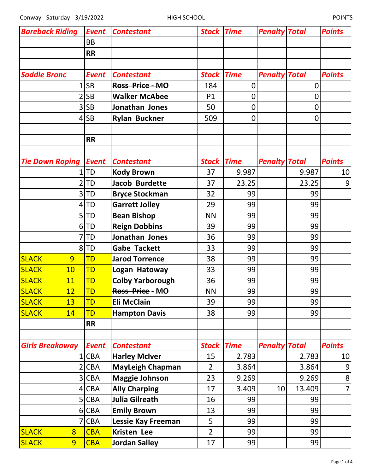| <b>Bareback Riding</b> | <b>Event</b> | <b>Contestant</b>         | <b>Stock Time</b> |             | <b>Penalty Total</b> |             | <b>Points</b>    |
|------------------------|--------------|---------------------------|-------------------|-------------|----------------------|-------------|------------------|
|                        | <b>BB</b>    |                           |                   |             |                      |             |                  |
|                        | <b>RR</b>    |                           |                   |             |                      |             |                  |
|                        |              |                           |                   |             |                      |             |                  |
| <b>Saddle Bronc</b>    | <b>Event</b> | <b>Contestant</b>         | <b>Stock</b>      | <b>Time</b> | <b>Penalty Total</b> |             | <b>Points</b>    |
|                        | <b>SB</b>    | Ross Price-MO             | 184               | 0           |                      | $\mathbf 0$ |                  |
|                        | <b>SB</b>    | <b>Walker McAbee</b>      | P1                | 0           |                      | 0           |                  |
| 3                      | <b>SB</b>    | Jonathan Jones            | 50                | $\mathbf 0$ |                      | $\mathbf 0$ |                  |
|                        | <b>SB</b>    | <b>Rylan Buckner</b>      | 509               | $\mathbf 0$ |                      | $\mathbf 0$ |                  |
|                        |              |                           |                   |             |                      |             |                  |
|                        | <b>RR</b>    |                           |                   |             |                      |             |                  |
|                        |              |                           |                   |             |                      |             |                  |
| <b>Tie Down Roping</b> | <b>Event</b> | <b>Contestant</b>         | <b>Stock</b>      | <b>Time</b> | <b>Penalty Total</b> |             | <b>Points</b>    |
|                        | <b>TD</b>    | <b>Kody Brown</b>         | 37                | 9.987       |                      | 9.987       | 10               |
|                        | <b>TD</b>    | <b>Jacob Burdette</b>     | 37                | 23.25       |                      | 23.25       | 9                |
| 3                      | <b>TD</b>    | <b>Bryce Stockman</b>     | 32                | 99          |                      | 99          |                  |
| 4                      | <b>TD</b>    | <b>Garrett Jolley</b>     | 29                | 99          |                      | 99          |                  |
| 5                      | <b>TD</b>    | <b>Bean Bishop</b>        | <b>NN</b>         | 99          |                      | 99          |                  |
| 6                      | <b>TD</b>    | <b>Reign Dobbins</b>      | 39                | 99          |                      | 99          |                  |
|                        | <b>TD</b>    | Jonathan Jones            | 36                | 99          |                      | 99          |                  |
|                        | $8$ TD       | <b>Gabe Tackett</b>       | 33                | 99          |                      | 99          |                  |
| <b>SLACK</b><br>9      | TD           | <b>Jarod Torrence</b>     | 38                | 99          |                      | 99          |                  |
| <b>SLACK</b><br>10     | TD           | Logan Hatoway             | 33                | 99          |                      | 99          |                  |
| <b>SLACK</b><br>11     | TD           | <b>Colby Yarborough</b>   | 36                | 99          |                      | 99          |                  |
| <b>SLACK</b><br>12     | TD           | Ross Price - MO           | <b>NN</b>         | 99          |                      | 99          |                  |
| 13<br><b>SLACK</b>     | TD           | <b>Eli McClain</b>        | 39                | 99          |                      | 99          |                  |
| <b>SLACK</b><br>14     | TD           | <b>Hampton Davis</b>      | 38                | 99          |                      | 99          |                  |
|                        | <b>RR</b>    |                           |                   |             |                      |             |                  |
|                        |              |                           |                   |             |                      |             |                  |
| <b>Girls Breakaway</b> | <b>Event</b> | <b>Contestant</b>         | Stock             | <b>Time</b> | <b>Penalty Total</b> |             | <b>Points</b>    |
|                        | <b>CBA</b>   | <b>Harley McIver</b>      | 15                | 2.783       |                      | 2.783       | 10               |
| 2                      | <b>CBA</b>   | <b>MayLeigh Chapman</b>   | $\overline{2}$    | 3.864       |                      | 3.864       | $\boldsymbol{9}$ |
| 3                      | <b>CBA</b>   | <b>Maggie Johnson</b>     | 23                | 9.269       |                      | 9.269       | $\bf 8$          |
| 4                      | <b>CBA</b>   | <b>Ally Charping</b>      | 17                | 3.409       | 10 <sup>1</sup>      | 13.409      | $\overline{7}$   |
| 5 <sub>l</sub>         | <b>CBA</b>   | <b>Julia Gilreath</b>     | 16                | 99          |                      | 99          |                  |
|                        | 6 CBA        | <b>Emily Brown</b>        | 13                | 99          |                      | 99          |                  |
| 7                      | <b>CBA</b>   | <b>Lessie Kay Freeman</b> | 5                 | 99          |                      | 99          |                  |
| <b>SLACK</b><br>8      | <b>CBA</b>   | Kristen Lee               | $\overline{2}$    | 99          |                      | 99          |                  |
| 9<br><b>SLACK</b>      | <b>CBA</b>   | <b>Jordan Salley</b>      | 17                | 99          |                      | 99          |                  |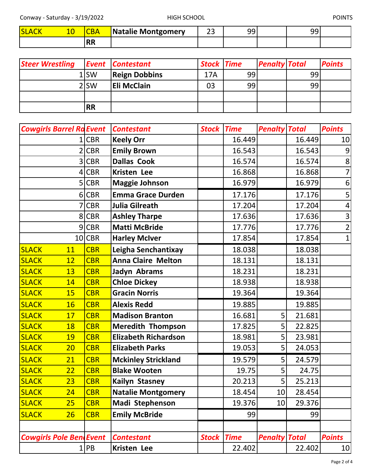Conway - Saturday - 3/19/2022 THIGH SCHOOL FORWAY - SATURAL POINTS

| <b>SLAC</b> | ĸд       | Natalie Montgomery | $\sim$ $\sim$<br>۔۔ | ۵۵ | nr<br>-- |  |
|-------------|----------|--------------------|---------------------|----|----------|--|
|             | RR<br>nn |                    |                     |    |          |  |

| <b>Steer Wrestling</b> |                  | <b>Event Contestant</b> | <b>Stock Time</b> |    | <b>Penalty Total</b> |    | <b>Points</b> |
|------------------------|------------------|-------------------------|-------------------|----|----------------------|----|---------------|
|                        | 1lSW             | <b>Reign Dobbins</b>    | 17A               | 99 |                      | 99 |               |
|                        | 2 <sub>ISW</sub> | <b>Eli McClain</b>      | 03                | 99 |                      | 99 |               |
|                        |                  |                         |                   |    |                      |    |               |
|                        | <b>RR</b>        |                         |                   |    |                      |    |               |

| <b>Cowgirls Barrel Ra Event</b> |            | <b>Contestant</b>           | <b>Stock Time</b> |             | <b>Penalty Total</b> |        | <b>Points</b>    |
|---------------------------------|------------|-----------------------------|-------------------|-------------|----------------------|--------|------------------|
|                                 | 1 CBR      | <b>Keely Orr</b>            |                   | 16.449      |                      | 16.449 | 10 <sub>l</sub>  |
| 2                               | <b>CBR</b> | <b>Emily Brown</b>          |                   | 16.543      |                      | 16.543 | 9                |
| 3                               | <b>CBR</b> | <b>Dallas Cook</b>          |                   | 16.574      |                      | 16.574 | 8                |
|                                 | 4 CBR      | Kristen Lee                 |                   | 16.868      |                      | 16.868 | 7                |
|                                 | 5 CBR      | <b>Maggie Johnson</b>       |                   | 16.979      |                      | 16.979 | $\boldsymbol{6}$ |
|                                 | 6 CBR      | <b>Emma Grace Durden</b>    |                   | 17.176      |                      | 17.176 | 5                |
|                                 | <b>CBR</b> | <b>Julia Gilreath</b>       |                   | 17.204      |                      | 17.204 | 4                |
|                                 | 8 CBR      | <b>Ashley Tharpe</b>        |                   | 17.636      |                      | 17.636 | 3                |
|                                 | $9$ CBR    | <b>Matti McBride</b>        |                   | 17.776      |                      | 17.776 | $\overline{2}$   |
|                                 | 10 CBR     | <b>Harley McIver</b>        |                   | 17.854      |                      | 17.854 | $\mathbf{1}$     |
| <b>SLACK</b><br>11              | <b>CBR</b> | Leigha Senchantixay         |                   | 18.038      |                      | 18.038 |                  |
| <b>SLACK</b><br>12              | <b>CBR</b> | <b>Anna Claire Melton</b>   |                   | 18.131      |                      | 18.131 |                  |
| <b>SLACK</b><br>13              | <b>CBR</b> | Jadyn Abrams                |                   | 18.231      |                      | 18.231 |                  |
| <b>SLACK</b><br>14              | <b>CBR</b> | <b>Chloe Dickey</b>         |                   | 18.938      |                      | 18.938 |                  |
| <b>SLACK</b><br>15              | <b>CBR</b> | <b>Gracin Norris</b>        |                   | 19.364      |                      | 19.364 |                  |
| <b>SLACK</b><br>16              | <b>CBR</b> | <b>Alexis Redd</b>          |                   | 19.885      |                      | 19.885 |                  |
| <b>SLACK</b><br>17              | <b>CBR</b> | <b>Madison Branton</b>      |                   | 16.681      | 5 <sup>1</sup>       | 21.681 |                  |
| <b>SLACK</b><br>18              | <b>CBR</b> | <b>Meredith Thompson</b>    |                   | 17.825      | 5                    | 22.825 |                  |
| <b>SLACK</b><br>19              | <b>CBR</b> | <b>Elizabeth Richardson</b> |                   | 18.981      | 5                    | 23.981 |                  |
| 20<br><b>SLACK</b>              | <b>CBR</b> | <b>Elizabeth Parks</b>      |                   | 19.053      | 5                    | 24.053 |                  |
| <b>SLACK</b><br>21              | <b>CBR</b> | <b>Mckinley Strickland</b>  |                   | 19.579      | 5                    | 24.579 |                  |
| <b>SLACK</b><br>22              | <b>CBR</b> | <b>Blake Wooten</b>         |                   | 19.75       | 5                    | 24.75  |                  |
| <b>SLACK</b><br>23              | <b>CBR</b> | Kailyn Stasney              |                   | 20.213      | 5                    | 25.213 |                  |
| SLACK<br>24                     | <b>CBR</b> | <b>Natalie Montgomery</b>   |                   | 18.454      | 10                   | 28.454 |                  |
| <b>SLACK</b><br>25              | <b>CBR</b> | Madi Stephenson             |                   | 19.376      | 10 <sup>1</sup>      | 29.376 |                  |
| <b>SLACK</b><br>26              | <b>CBR</b> | <b>Emily McBride</b>        |                   | 99          |                      | 99     |                  |
|                                 |            |                             |                   |             |                      |        |                  |
| <b>Cowgirls Pole BendEvent</b>  |            | <b>Contestant</b>           | <b>Stock</b>      | <b>Time</b> | <b>Penalty Total</b> |        | <b>Points</b>    |
|                                 | 1 PB       | Kristen Lee                 |                   | 22.402      |                      | 22.402 | 10               |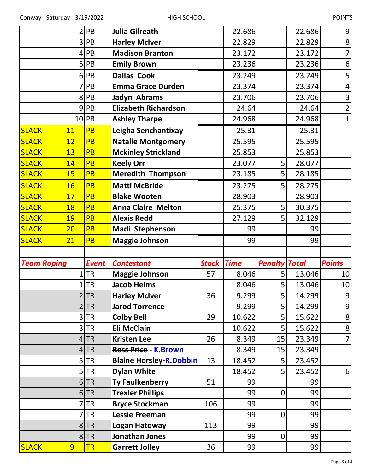| 2                  | PB             | <b>Julia Gilreath</b>          |                   | 22.686 |                      | 22.686 | $\boldsymbol{9}$ |
|--------------------|----------------|--------------------------------|-------------------|--------|----------------------|--------|------------------|
| 3                  | PB             | <b>Harley McIver</b>           |                   | 22.829 |                      | 22.829 | $\bf 8$          |
| 4                  | PB             | <b>Madison Branton</b>         |                   | 23.172 |                      | 23.172 | $\overline{7}$   |
| 5                  | PB             | <b>Emily Brown</b>             |                   | 23.236 |                      | 23.236 | $6 \overline{6}$ |
| 6                  | PB             | <b>Dallas Cook</b>             |                   | 23.249 |                      | 23.249 | 5                |
|                    | PB             | <b>Emma Grace Durden</b>       |                   | 23.374 |                      | 23.374 | $\overline{4}$   |
|                    | PB<br>8        | Jadyn Abrams                   |                   | 23.706 |                      | 23.706 | 3                |
| 9                  | PB             | <b>Elizabeth Richardson</b>    |                   | 24.64  |                      | 24.64  | $\overline{2}$   |
| 10                 | PB             | <b>Ashley Tharpe</b>           |                   | 24.968 |                      | 24.968 | $\overline{1}$   |
| <b>SLACK</b><br>11 | <b>PB</b>      | Leigha Senchantixay            |                   | 25.31  |                      | 25.31  |                  |
| <b>SLACK</b><br>12 | <b>PB</b>      | <b>Natalie Montgomery</b>      |                   | 25.595 |                      | 25.595 |                  |
| <b>SLACK</b><br>13 | <b>PB</b>      | <b>Mckinley Strickland</b>     |                   | 25.853 |                      | 25.853 |                  |
| <b>SLACK</b><br>14 | <b>PB</b>      | <b>Keely Orr</b>               |                   | 23.077 | 5                    | 28.077 |                  |
| <b>SLACK</b><br>15 | <b>PB</b>      | <b>Meredith Thompson</b>       |                   | 23.185 | 5 <sup>1</sup>       | 28.185 |                  |
| <b>SLACK</b><br>16 | <b>PB</b>      | <b>Matti McBride</b>           |                   | 23.275 | 5 <sup>1</sup>       | 28.275 |                  |
| <b>SLACK</b><br>17 | <b>PB</b>      | <b>Blake Wooten</b>            |                   | 28.903 |                      | 28.903 |                  |
| <b>SLACK</b><br>18 | <b>PB</b>      | <b>Anna Claire Melton</b>      |                   | 25.375 | 5                    | 30.375 |                  |
| <b>SLACK</b><br>19 | <b>PB</b>      | <b>Alexis Redd</b>             |                   | 27.129 | 5                    | 32.129 |                  |
| <b>SLACK</b><br>20 | <b>PB</b>      | Madi Stephenson                |                   | 99     |                      | 99     |                  |
|                    |                |                                |                   |        |                      |        |                  |
| <b>SLACK</b><br>21 | <b>PB</b>      | <b>Maggie Johnson</b>          |                   | 99     |                      | 99     |                  |
|                    |                |                                |                   |        |                      |        |                  |
| <b>Team Roping</b> | <b>Event</b>   | <b>Contestant</b>              | <b>Stock Time</b> |        | <b>Penalty Total</b> |        | <b>Points</b>    |
|                    | <b>TR</b>      | <b>Maggie Johnson</b>          | 57                | 8.046  | 5 <sup>1</sup>       | 13.046 | 10               |
|                    | <b>TR</b>      | <b>Jacob Helms</b>             |                   | 8.046  | 5                    | 13.046 | 10               |
|                    | 2 TR           | <b>Harley McIver</b>           | 36                | 9.299  | 5.                   | 14.299 | $\overline{9}$   |
|                    | <b>TR</b>      | <b>Jarod Torrence</b>          |                   | 9.299  | 5 <sup>1</sup>       | 14.299 | $\mathsf g$      |
|                    | 3<br><b>TR</b> | <b>Colby Bell</b>              | 29                | 10.622 | 5                    | 15.622 | $\bf 8$          |
|                    | <b>TR</b><br>3 | <b>Eli McClain</b>             |                   | 10.622 | 5                    | 15.622 | $\bf 8$          |
|                    | <b>TR</b><br>4 | <b>Kristen Lee</b>             | 26                | 8.349  | 15                   | 23.349 | $\overline{7}$   |
|                    | <b>TR</b><br>4 | Ross Price - K. Brown          |                   | 8.349  | 15                   | 23.349 |                  |
| 5                  | <b>TR</b>      | <b>Blaine Horsley-R.Dobbin</b> | 13                | 18.452 | 5                    | 23.452 |                  |
|                    | <b>TR</b><br>5 | <b>Dylan White</b>             |                   | 18.452 | 5                    | 23.452 | $6 \overline{6}$ |
|                    | <b>TR</b><br>6 | <b>Ty Faulkenberry</b>         | 51                | 99     |                      | 99     |                  |
|                    | $6$ TR         | <b>Trexler Phillips</b>        |                   | 99     | $\overline{0}$       | 99     |                  |
|                    | <b>TR</b>      | <b>Bryce Stockman</b>          | 106               | 99     |                      | 99     |                  |
|                    | <b>TR</b>      | <b>Lessie Freeman</b>          |                   | 99     | $\overline{0}$       | 99     |                  |
|                    | 8<br><b>TR</b> | Logan Hatoway                  | 113               | 99     |                      | 99     |                  |
|                    | 8 TR           | Jonathan Jones                 |                   | 99     | $\overline{0}$       | 99     |                  |